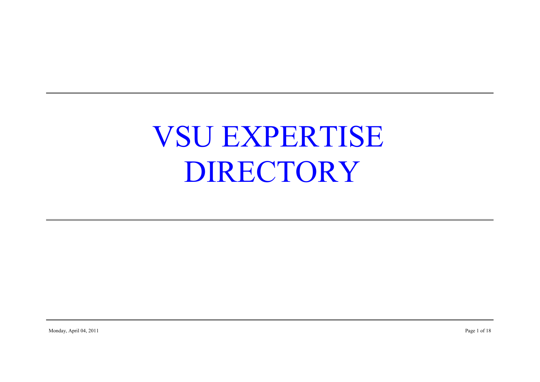# VSU EXPERTISE DIRECTORY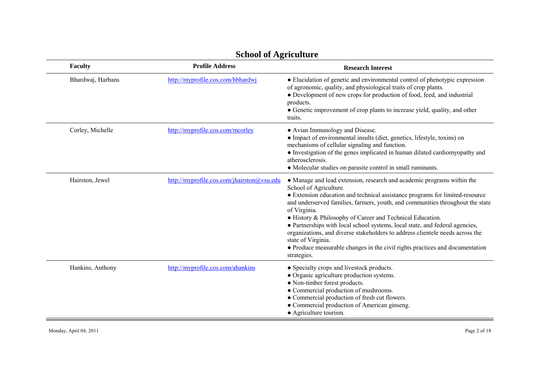| Faculty           | <b>Profile Address</b>                     | <b>Research Interest</b>                                                                                                                                                                                                                                                                                                                                                                                                                                                                                                                                                                                                              |
|-------------------|--------------------------------------------|---------------------------------------------------------------------------------------------------------------------------------------------------------------------------------------------------------------------------------------------------------------------------------------------------------------------------------------------------------------------------------------------------------------------------------------------------------------------------------------------------------------------------------------------------------------------------------------------------------------------------------------|
| Bhardwaj, Harbans | http://myprofile.cos.com/hbhardwj          | • Elucidation of genetic and environmental control of phenotypic expression<br>of agronomic, quality, and physiological traits of crop plants.<br>• Development of new crops for production of food, feed, and industrial<br>products.<br>• Genetic improvement of crop plants to increase yield, quality, and other<br>traits.                                                                                                                                                                                                                                                                                                       |
| Corley, Michelle  | http://myprofile.cos.com/mcorley           | • Avian Immunology and Disease.<br>• Impact of environmental insults (diet, genetics, lifestyle, toxins) on<br>mechanisms of cellular signaling and function.<br>• Investigation of the genes implicated in human dilated cardiomyopathy and<br>atherosclerosis.<br>• Molecular studies on parasite control in small ruminants.                                                                                                                                                                                                                                                                                                       |
| Hairston, Jewel   | http://myprofile.cos.com/jhairston@ysu.edu | • Manage and lead extension, research and academic programs within the<br>School of Agriculture.<br>• Extension education and technical assistance programs for limited-resource<br>and underserved families, farmers, youth, and communities throughout the state<br>of Virginia.<br>• History & Philosophy of Career and Technical Education.<br>• Partnerships with local school systems, local state, and federal agencies,<br>organizations, and diverse stakeholders to address clientele needs across the<br>state of Virginia.<br>• Produce measurable changes in the civil rights practices and documentation<br>strategies. |
| Hankins, Anthony  | http://myprofile.cos.com/ahankins          | • Specialty crops and livestock products.<br>• Organic agriculture production systems.<br>• Non-timber forest products.<br>• Commercial production of mushrooms.<br>• Commercial production of fresh cut flowers.<br>• Commercial production of American ginseng.<br>• Agriculture tourism.                                                                                                                                                                                                                                                                                                                                           |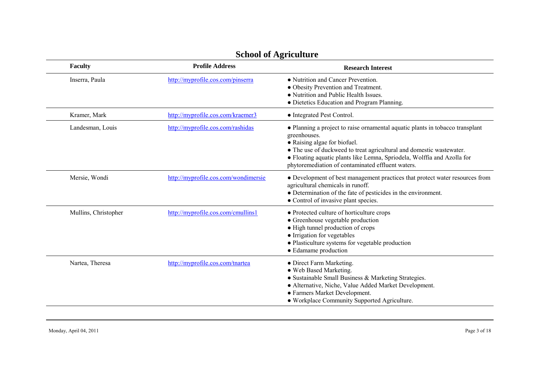| Faculty              | <b>Profile Address</b>               | <b>Research Interest</b>                                                                                                                                                                                                                                                                                                              |
|----------------------|--------------------------------------|---------------------------------------------------------------------------------------------------------------------------------------------------------------------------------------------------------------------------------------------------------------------------------------------------------------------------------------|
| Inserra, Paula       | http://myprofile.cos.com/pinserra    | • Nutrition and Cancer Prevention.<br>• Obesity Prevention and Treatment.<br>• Nutrition and Public Health Issues.<br>· Dietetics Education and Program Planning.                                                                                                                                                                     |
| Kramer, Mark         | http://myprofile.cos.com/kraemer3    | • Integrated Pest Control.                                                                                                                                                                                                                                                                                                            |
| Landesman, Louis     | http://myprofile.cos.com/rashidas    | • Planning a project to raise ornamental aquatic plants in tobacco transplant<br>greenhouses.<br>• Raising algae for biofuel.<br>• The use of duckweed to treat agricultural and domestic wastewater.<br>• Floating aquatic plants like Lemna, Spriodela, Wolffia and Azolla for<br>phytoremediation of contaminated effluent waters. |
| Mersie, Wondi        | http://myprofile.cos.com/wondimersie | • Development of best management practices that protect water resources from<br>agricultural chemicals in runoff.<br>• Determination of the fate of pesticides in the environment.<br>• Control of invasive plant species.                                                                                                            |
| Mullins, Christopher | http://myprofile.cos.com/cmullins1   | • Protected culture of horticulture crops<br>• Greenhouse vegetable production<br>• High tunnel production of crops<br>• Irrigation for vegetables<br>• Plasticulture systems for vegetable production<br>• Edamame production                                                                                                        |
| Nartea, Theresa      | http://myprofile.cos.com/tnartea     | • Direct Farm Marketing.<br>• Web Based Marketing.<br>• Sustainable Small Business & Marketing Strategies.<br>• Alternative, Niche, Value Added Market Development.<br>• Farmers Market Development.<br>• Workplace Community Supported Agriculture.                                                                                  |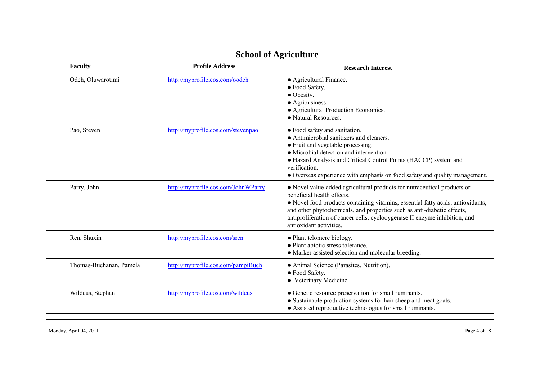| <b>Faculty</b>          | <b>Profile Address</b>              | <b>Research Interest</b>                                                                                                                                                                                                                                                                                                                                                     |
|-------------------------|-------------------------------------|------------------------------------------------------------------------------------------------------------------------------------------------------------------------------------------------------------------------------------------------------------------------------------------------------------------------------------------------------------------------------|
| Odeh, Oluwarotimi       | http://myprofile.cos.com/oodeh      | • Agricultural Finance.<br>• Food Safety.<br>• Obesity.<br>• Agribusiness.<br>• Agricultural Production Economics.<br>• Natural Resources.                                                                                                                                                                                                                                   |
| Pao, Steven             | http://myprofile.cos.com/stevenpao  | • Food safety and sanitation.<br>• Antimicrobial sanitizers and cleaners.<br>• Fruit and vegetable processing.<br>• Microbial detection and intervention.<br>• Hazard Analysis and Critical Control Points (HACCP) system and<br>verification.<br>• Overseas experience with emphasis on food safety and quality management.                                                 |
| Parry, John             | http://myprofile.cos.com/JohnWParry | • Novel value-added agricultural products for nutraceutical products or<br>beneficial health effects.<br>• Novel food products containing vitamins, essential fatty acids, antioxidants,<br>and other phytochemicals, and properties such as anti-diabetic effects,<br>antiproliferation of cancer cells, cyclooygenase II enzyme inhibition, and<br>antioxidant activities. |
| Ren, Shuxin             | http://myprofile.cos.com/sren       | • Plant telomere biology.<br>• Plant abiotic stress tolerance.<br>• Marker assisted selection and molecular breeding.                                                                                                                                                                                                                                                        |
| Thomas-Buchanan, Pamela | http://myprofile.cos.com/pampiBuch  | • Animal Science (Parasites, Nutrition).<br>• Food Safety.<br>• Veterinary Medicine.                                                                                                                                                                                                                                                                                         |
| Wildeus, Stephan        | http://myprofile.cos.com/wildeus    | • Genetic resource preservation for small ruminants.<br>• Sustainable production systems for hair sheep and meat goats.<br>• Assisted reproductive technologies for small ruminants.                                                                                                                                                                                         |

Monday, April 04, 2011 Page 4 of 18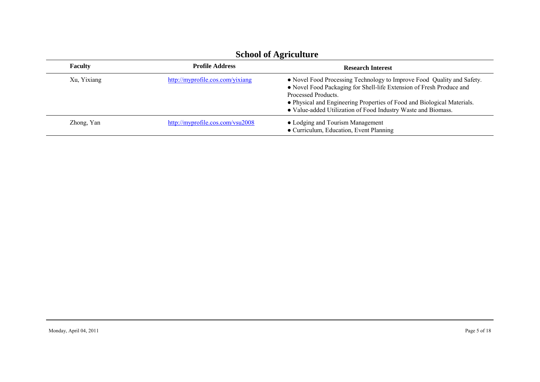| 50010010111 |                                  |                                                                                                                                                                                                                                                                                                                   |
|-------------|----------------------------------|-------------------------------------------------------------------------------------------------------------------------------------------------------------------------------------------------------------------------------------------------------------------------------------------------------------------|
| Faculty     | <b>Profile Address</b>           | <b>Research Interest</b>                                                                                                                                                                                                                                                                                          |
| Xu, Yixiang | http://myprofile.cos.com/yixiang | • Novel Food Processing Technology to Improve Food Quality and Safety.<br>• Novel Food Packaging for Shell-life Extension of Fresh Produce and<br>Processed Products.<br>• Physical and Engineering Properties of Food and Biological Materials.<br>• Value-added Utilization of Food Industry Waste and Biomass. |
| Zhong, Yan  | http://myprofile.cos.com/vsu2008 | • Lodging and Tourism Management<br>• Curriculum, Education, Event Planning                                                                                                                                                                                                                                       |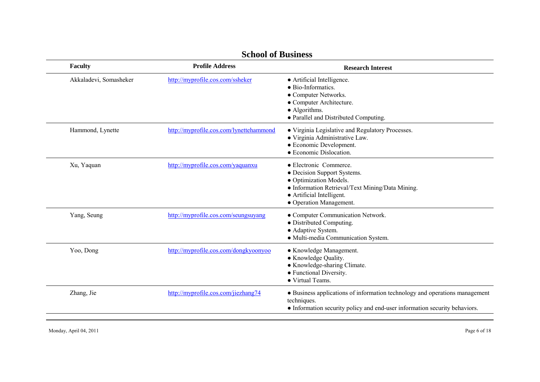| <b>Faculty</b>         | <b>Profile Address</b>                  | <b>Research Interest</b>                                                                                                                                                                    |
|------------------------|-----------------------------------------|---------------------------------------------------------------------------------------------------------------------------------------------------------------------------------------------|
| Akkaladevi, Somasheker | http://myprofile.cos.com/ssheker        | • Artificial Intelligence.<br>$\bullet$ Bio-Informatics<br>• Computer Networks.<br>• Computer Architecture.<br>• Algorithms.<br>· Parallel and Distributed Computing.                       |
| Hammond, Lynette       | http://myprofile.cos.com/lynettehammond | • Virginia Legislative and Regulatory Processes.<br>· Virginia Administrative Law.<br>• Economic Development.<br>• Economic Dislocation.                                                    |
| Xu, Yaquan             | http://myprofile.cos.com/yaquanxu       | • Electronic Commerce.<br>• Decision Support Systems.<br>• Optimization Models.<br>• Information Retrieval/Text Mining/Data Mining.<br>• Artificial Intelligent.<br>• Operation Management. |
| Yang, Seung            | http://myprofile.cos.com/seungsuyang    | • Computer Communication Network.<br>• Distributed Computing.<br>• Adaptive System.<br>· Multi-media Communication System.                                                                  |
| Yoo, Dong              | http://myprofile.cos.com/dongkyoonyoo   | • Knowledge Management.<br>• Knowledge Quality.<br>• Knowledge-sharing Climate.<br>• Functional Diversity.<br>• Virtual Teams.                                                              |
| Zhang, Jie             | http://myprofile.cos.com/jiezhang74     | • Business applications of information technology and operations management<br>techniques.<br>• Information security policy and end-user information security behaviors.                    |

#### **School of Business**

Monday, April 04, 2011 Page 6 of 18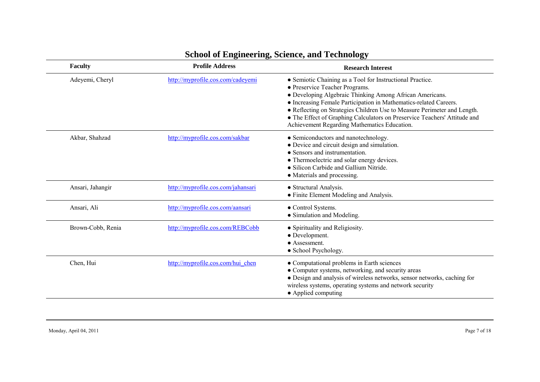| <b>Faculty</b>    | <b>Profile Address</b>             | <b>Research Interest</b>                                                                                                                                                                                                                                                                                                                                                                                                              |
|-------------------|------------------------------------|---------------------------------------------------------------------------------------------------------------------------------------------------------------------------------------------------------------------------------------------------------------------------------------------------------------------------------------------------------------------------------------------------------------------------------------|
| Adeyemi, Cheryl   | http://myprofile.cos.com/cadeyemi  | • Semiotic Chaining as a Tool for Instructional Practice.<br>• Preservice Teacher Programs.<br>• Developing Algebraic Thinking Among African Americans.<br>• Increasing Female Participation in Mathematics-related Careers.<br>• Reflecting on Strategies Children Use to Measure Perimeter and Length.<br>• The Effect of Graphing Calculators on Preservice Teachers' Attitude and<br>Achievement Regarding Mathematics Education. |
| Akbar, Shahzad    | http://myprofile.cos.com/sakbar    | • Semiconductors and nanotechnology.<br>• Device and circuit design and simulation.<br>• Sensors and instrumentation.<br>• Thermoelectric and solar energy devices.<br>• Silicon Carbide and Gallium Nitride.<br>• Materials and processing.                                                                                                                                                                                          |
| Ansari, Jahangir  | http://myprofile.cos.com/jahansari | • Structural Analysis.<br>• Finite Element Modeling and Analysis.                                                                                                                                                                                                                                                                                                                                                                     |
| Ansari, Ali       | http://myprofile.cos.com/aansari   | • Control Systems.<br>• Simulation and Modeling.                                                                                                                                                                                                                                                                                                                                                                                      |
| Brown-Cobb, Renia | http://myprofile.cos.com/REBCobb   | • Spirituality and Religiosity.<br>• Development.<br>• Assessment.<br>• School Psychology.                                                                                                                                                                                                                                                                                                                                            |
| Chen, Hui         | http://myprofile.cos.com/hui chen  | • Computational problems in Earth sciences<br>• Computer systems, networking, and security areas<br>· Design and analysis of wireless networks, sensor networks, caching for<br>wireless systems, operating systems and network security<br>• Applied computing                                                                                                                                                                       |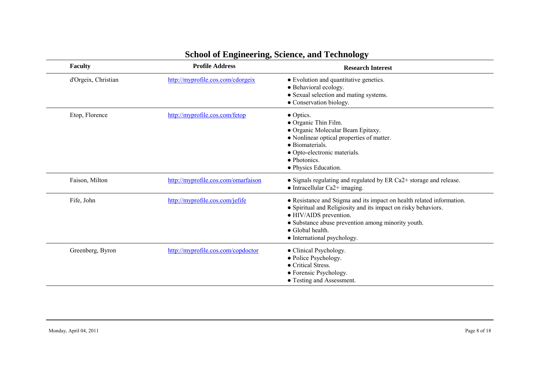| <b>Faculty</b>      | <b>Profile Address</b>              | <b>Research Interest</b>                                                                                                                                                                                                                                                   |
|---------------------|-------------------------------------|----------------------------------------------------------------------------------------------------------------------------------------------------------------------------------------------------------------------------------------------------------------------------|
| d'Orgeix, Christian | http://myprofile.cos.com/cdorgeix   | • Evolution and quantitative genetics.<br>· Behavioral ecology.<br>• Sexual selection and mating systems.<br>• Conservation biology.                                                                                                                                       |
| Etop, Florence      | http://myprofile.cos.com/fetop      | $\bullet$ Optics.<br>• Organic Thin Film.<br>• Organic Molecular Beam Epitaxy.<br>• Nonlinear optical properties of matter.<br>• Biomaterials.<br>• Opto-electronic materials.<br>$\bullet$ Photonics.<br>• Physics Education.                                             |
| Faison, Milton      | http://myprofile.cos.com/omarfaison | • Signals regulating and regulated by ER Ca2+ storage and release.<br>$\bullet$ Intracellular Ca2+ imaging.                                                                                                                                                                |
| Fife, John          | http://myprofile.cos.com/jefife     | • Resistance and Stigma and its impact on health related information.<br>• Spiritual and Religiosity and its impact on risky behaviors.<br>• HIV/AIDS prevention.<br>• Substance abuse prevention among minority youth.<br>• Global health.<br>• International psychology. |
| Greenberg, Byron    | http://myprofile.cos.com/copdoctor  | • Clinical Psychology.<br>• Police Psychology.<br>• Critical Stress.<br>• Forensic Psychology.<br>• Testing and Assessment.                                                                                                                                                |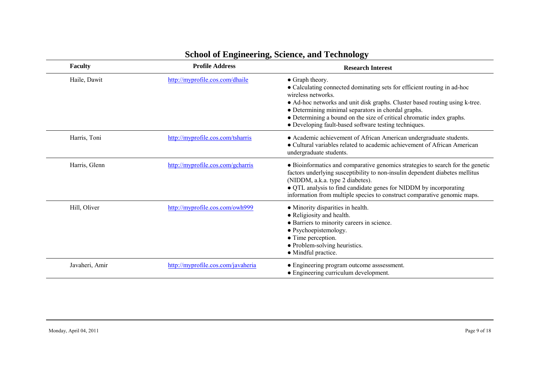| <b>Faculty</b> | <b>Profile Address</b>             | <b>Research Interest</b>                                                                                                                                                                                                                                                                                                                                                                 |
|----------------|------------------------------------|------------------------------------------------------------------------------------------------------------------------------------------------------------------------------------------------------------------------------------------------------------------------------------------------------------------------------------------------------------------------------------------|
| Haile, Dawit   | http://myprofile.cos.com/dhaile    | • Graph theory.<br>• Calculating connected dominating sets for efficient routing in ad-hoc<br>wireless networks.<br>• Ad-hoc networks and unit disk graphs. Cluster based routing using k-tree.<br>• Determining minimal separators in chordal graphs.<br>• Determining a bound on the size of critical chromatic index graphs.<br>• Developing fault-based software testing techniques. |
| Harris, Toni   | http://myprofile.cos.com/tsharris  | • Academic achievement of African American undergraduate students.<br>• Cultural variables related to academic achievement of African American<br>undergraduate students.                                                                                                                                                                                                                |
| Harris, Glenn  | http://myprofile.cos.com/gcharris  | • Bioinformatics and comparative genomics strategies to search for the genetic<br>factors underlying susceptibility to non-insulin dependent diabetes mellitus<br>(NIDDM, a.k.a. type 2 diabetes).<br>• QTL analysis to find candidate genes for NIDDM by incorporating<br>information from multiple species to construct comparative genomic maps.                                      |
| Hill, Oliver   | http://myprofile.cos.com/owh999    | • Minority disparities in health.<br>• Religiosity and health.<br>• Barriers to minority careers in science.<br>• Psychoepistemology.<br>• Time perception.<br>• Problem-solving heuristics.<br>• Mindful practice.                                                                                                                                                                      |
| Javaheri, Amir | http://myprofile.cos.com/javaheria | • Engineering program outcome asssessment.<br>• Engineering curriculum development.                                                                                                                                                                                                                                                                                                      |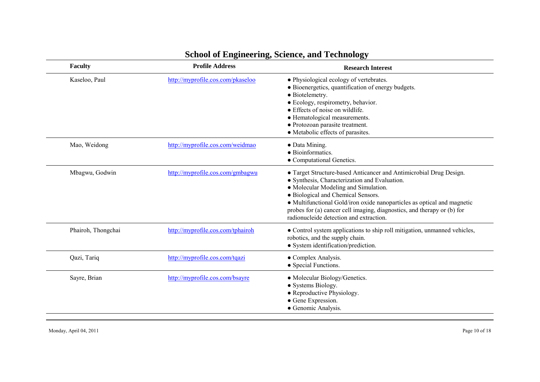| <b>Faculty</b>     | <b>Profile Address</b>            | <b>Research Interest</b>                                                                                                                                                                                                                                                                                                                                                                           |
|--------------------|-----------------------------------|----------------------------------------------------------------------------------------------------------------------------------------------------------------------------------------------------------------------------------------------------------------------------------------------------------------------------------------------------------------------------------------------------|
| Kaseloo, Paul      | http://myprofile.cos.com/pkaseloo | · Physiological ecology of vertebrates.<br>• Bioenergetics, quantification of energy budgets.<br>• Biotelemetry.<br>• Ecology, respirometry, behavior.<br>$\bullet$ Effects of noise on wildlife.<br>• Hematological measurements.<br>• Protozoan parasite treatment.<br>• Metabolic effects of parasites.                                                                                         |
| Mao, Weidong       | http://myprofile.cos.com/weidmao  | • Data Mining.<br>• Bioinformatics.<br>• Computational Genetics.                                                                                                                                                                                                                                                                                                                                   |
| Mbagwu, Godwin     | http://myprofile.cos.com/gmbagwu  | • Target Structure-based Anticancer and Antimicrobial Drug Design.<br>• Synthesis, Characterization and Evaluation.<br>• Molecular Modeling and Simulation.<br>• Biological and Chemical Sensors.<br>• Multifunctional Gold/iron oxide nanoparticles as optical and magnetic<br>probes for (a) cancer cell imaging, diagnostics, and therapy or (b) for<br>radionucleide detection and extraction. |
| Phairoh, Thongchai | http://myprofile.cos.com/tphairoh | • Control system applications to ship roll mitigation, unmanned vehicles,<br>robotics, and the supply chain.<br>• System identification/prediction.                                                                                                                                                                                                                                                |
| Qazi, Tariq        | http://myprofile.cos.com/tqazi    | • Complex Analysis.<br>• Special Functions.                                                                                                                                                                                                                                                                                                                                                        |
| Sayre, Brian       | http://myprofile.cos.com/bsayre   | • Molecular Biology/Genetics.<br>• Systems Biology.<br>• Reproductive Physiology.<br>• Gene Expression.<br>• Genomic Analysis.                                                                                                                                                                                                                                                                     |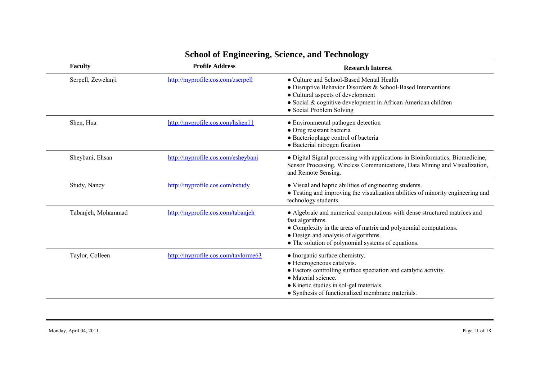| Faculty            | <b>Profile Address</b>              | <b>Research Interest</b>                                                                                                                                                                                                                                        |
|--------------------|-------------------------------------|-----------------------------------------------------------------------------------------------------------------------------------------------------------------------------------------------------------------------------------------------------------------|
| Serpell, Zewelanji | http://myprofile.cos.com/zserpell   | • Culture and School-Based Mental Health<br>• Disruptive Behavior Disorders & School-Based Interventions<br>• Cultural aspects of development<br>· Social & cognitive development in African American children<br>• Social Problem Solving                      |
| Shen, Hua          | http://myprofile.cos.com/hshen11    | • Environmental pathogen detection<br>· Drug resistant bacteria<br>• Bacteriophage control of bacteria<br>• Bacterial nitrogen fixation                                                                                                                         |
| Sheybani, Ehsan    | http://myprofile.cos.com/esheybani  | • Digital Signal processing with applications in Bioinformatics, Biomedicine,<br>Sensor Processing, Wireless Communications, Data Mining and Visualization,<br>and Remote Sensing.                                                                              |
| Study, Nancy       | http://myprofile.cos.com/nstudy     | • Visual and haptic abilities of engineering students.<br>• Testing and improving the visualization abilities of minority engineering and<br>technology students.                                                                                               |
| Tabanjeh, Mohammad | http://myprofile.cos.com/tabanjeh   | • Algebraic and numerical computations with dense structured matrices and<br>fast algorithms.<br>• Complexity in the areas of matrix and polynomial computations.<br>• Design and analysis of algorithms.<br>• The solution of polynomial systems of equations. |
| Taylor, Colleen    | http://myprofile.cos.com/taylorme63 | • Inorganic surface chemistry.<br>• Heterogeneous catalysis.<br>• Factors controlling surface speciation and catalytic activity.<br>• Material science.<br>• Kinetic studies in sol-gel materials.<br>• Synthesis of functionalized membrane materials.         |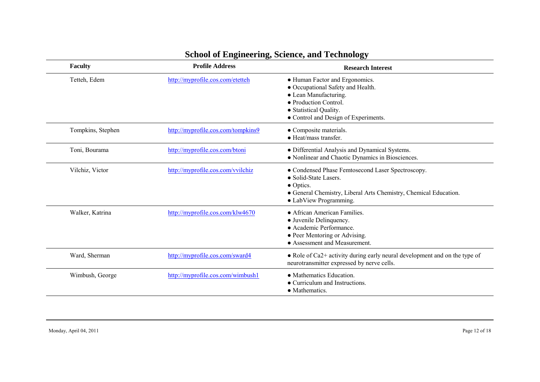| <b>Faculty</b>    | <b>Profile Address</b>             | <b>Research Interest</b>                                                                                                                                                                      |
|-------------------|------------------------------------|-----------------------------------------------------------------------------------------------------------------------------------------------------------------------------------------------|
| Tetteh, Edem      | http://myprofile.cos.com/etetteh   | • Human Factor and Ergonomics.<br>• Occupational Safety and Health.<br>• Lean Manufacturing.<br>• Production Control.<br>• Statistical Quality.<br>• Control and Design of Experiments.       |
| Tompkins, Stephen | http://myprofile.cos.com/tompkins9 | • Composite materials.<br>$\bullet$ Heat/mass transfer                                                                                                                                        |
| Toni, Bourama     | http://myprofile.cos.com/btoni     | · Differential Analysis and Dynamical Systems.<br>• Nonlinear and Chaotic Dynamics in Biosciences.                                                                                            |
| Vilchiz, Victor   | http://myprofile.cos.com/vvilchiz  | • Condensed Phase Femtosecond Laser Spectroscopy.<br>• Solid-State Lasers.<br>$\bullet$ Optics.<br>• General Chemistry, Liberal Arts Chemistry, Chemical Education.<br>• LabView Programming. |
| Walker, Katrina   | http://myprofile.cos.com/klw4670   | • African American Families<br>• Juvenile Delinquency.<br>• Academic Performance.<br>• Peer Mentoring or Advising.<br>• Assessment and Measurement.                                           |
| Ward, Sherman     | http://myprofile.cos.com/sward4    | • Role of Ca2+ activity during early neural development and on the type of<br>neurotransmitter expressed by nerve cells.                                                                      |
| Wimbush, George   | http://myprofile.cos.com/wimbush1  | • Mathematics Education.<br>• Curriculum and Instructions.<br>• Mathematics.                                                                                                                  |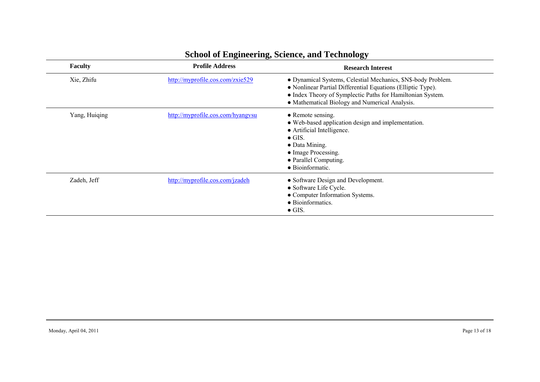| <b>Faculty</b> | <b>Profile Address</b>            | <b>Research Interest</b>                                                                                                                                                                                                                     |
|----------------|-----------------------------------|----------------------------------------------------------------------------------------------------------------------------------------------------------------------------------------------------------------------------------------------|
| Xie, Zhifu     | http://myprofile.cos.com/zxie529  | · Dynamical Systems, Celestial Mechanics, \$N\$-body Problem.<br>• Nonlinear Partial Differential Equations (Elliptic Type).<br>• Index Theory of Symplectic Paths for Hamiltonian System.<br>• Mathematical Biology and Numerical Analysis. |
| Yang, Huiqing  | http://myprofile.cos.com/hyangysu | $\bullet$ Remote sensing.<br>• Web-based application design and implementation.<br>• Artificial Intelligence.<br>$\bullet$ GIS.<br>• Data Mining.<br>• Image Processing.<br>• Parallel Computing.<br>• Bioinformatic.                        |
| Zadeh, Jeff    | http://myprofile.cos.com/jzadeh   | • Software Design and Development.<br>• Software Life Cycle.<br>• Computer Information Systems.<br>• Bioinformatics.<br>$\bullet$ GIS.                                                                                                       |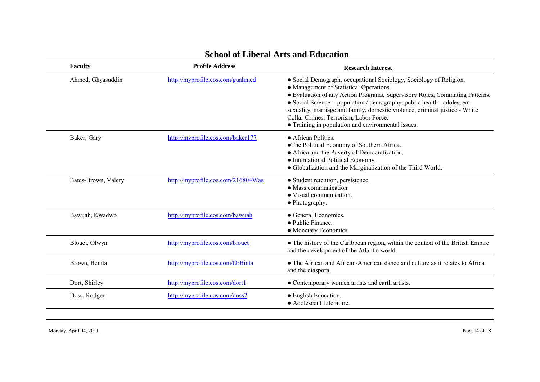| <b>Faculty</b>      | <b>Profile Address</b>             | <b>Research Interest</b>                                                                                                                                                                                                                                                                                                                                                                                                                              |
|---------------------|------------------------------------|-------------------------------------------------------------------------------------------------------------------------------------------------------------------------------------------------------------------------------------------------------------------------------------------------------------------------------------------------------------------------------------------------------------------------------------------------------|
| Ahmed, Ghyasuddin   | http://myprofile.cos.com/guahmed   | • Social Demograph, occupational Sociology, Sociology of Religion.<br>• Management of Statistical Operations.<br>• Evaluation of any Action Programs, Supervisory Roles, Commuting Patterns.<br>• Social Science - population / demography, public health - adolescent<br>sexuality, marriage and family, domestic violence, criminal justice - White<br>Collar Crimes, Terrorism, Labor Force.<br>• Training in population and environmental issues. |
| Baker, Gary         | http://myprofile.cos.com/baker177  | • African Politics.<br>• The Political Economy of Southern Africa.<br>• Africa and the Poverty of Democratization.<br>• International Political Economy.<br>• Globalization and the Marginalization of the Third World.                                                                                                                                                                                                                               |
| Bates-Brown, Valery | http://myprofile.cos.com/216804Was | • Student retention, persistence.<br>• Mass communication.<br>• Visual communication.<br>• Photography.                                                                                                                                                                                                                                                                                                                                               |
| Bawuah, Kwadwo      | http://myprofile.cos.com/bawuah    | • General Economics.<br>• Public Finance.<br>• Monetary Economics.                                                                                                                                                                                                                                                                                                                                                                                    |
| Blouet, Olwyn       | http://myprofile.cos.com/blouet    | • The history of the Caribbean region, within the context of the British Empire<br>and the development of the Atlantic world.                                                                                                                                                                                                                                                                                                                         |
| Brown, Benita       | http://myprofile.cos.com/DrBinta   | • The African and African-American dance and culture as it relates to Africa<br>and the diaspora.                                                                                                                                                                                                                                                                                                                                                     |
| Dort, Shirley       | http://myprofile.cos.com/dort1     | • Contemporary women artists and earth artists.                                                                                                                                                                                                                                                                                                                                                                                                       |
| Doss, Rodger        | http://myprofile.cos.com/doss2     | • English Education.<br>• Adolescent Literature.                                                                                                                                                                                                                                                                                                                                                                                                      |

#### **School of Liberal Arts and Education**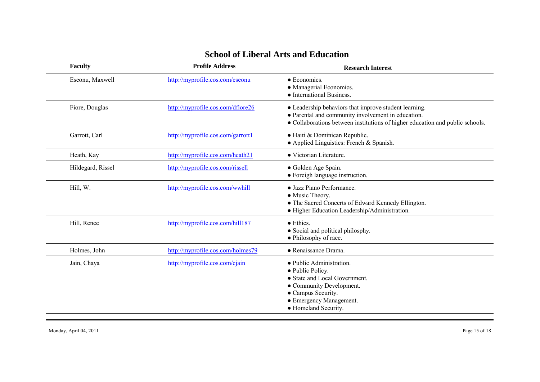|--|

| Faculty           | <b>Profile Address</b>            | <b>Research Interest</b>                                                                                                                                                                     |
|-------------------|-----------------------------------|----------------------------------------------------------------------------------------------------------------------------------------------------------------------------------------------|
| Eseonu, Maxwell   | http://myprofile.cos.com/eseonu   | • Economics.<br>• Managerial Economics.<br>• International Business.                                                                                                                         |
| Fiore, Douglas    | http://myprofile.cos.com/dfiore26 | • Leadership behaviors that improve student learning.<br>• Parental and community involvement in education.<br>• Collaborations between institutions of higher education and public schools. |
| Garrott, Carl     | http://myprofile.cos.com/garrott1 | · Haiti & Dominican Republic.<br>$\bullet$ Applied Linguistics: French & Spanish.                                                                                                            |
| Heath, Kay        | http://myprofile.cos.com/heath21  | • Victorian Literature.                                                                                                                                                                      |
| Hildegard, Rissel | http://myprofile.cos.com/rissell  | • Golden Age Spain.<br>• Foreigh language instruction.                                                                                                                                       |
| Hill, W.          | http://myprofile.cos.com/wwhill   | • Jazz Piano Performance.<br>• Music Theory.<br>• The Sacred Concerts of Edward Kennedy Ellington.<br>· Higher Education Leadership/Administration.                                          |
| Hill, Renee       | http://myprofile.cos.com/hill187  | • Ethics.<br>• Social and political philosphy.<br>• Philosophy of race.                                                                                                                      |
| Holmes, John      | http://myprofile.cos.com/holmes79 | · Renaissance Drama.                                                                                                                                                                         |
| Jain, Chaya       | http://myprofile.cos.com/cjain    | • Public Administration.<br>• Public Policy.<br>• State and Local Government.<br>• Community Development.<br>• Campus Security.<br>• Emergency Management.<br>• Homeland Security.           |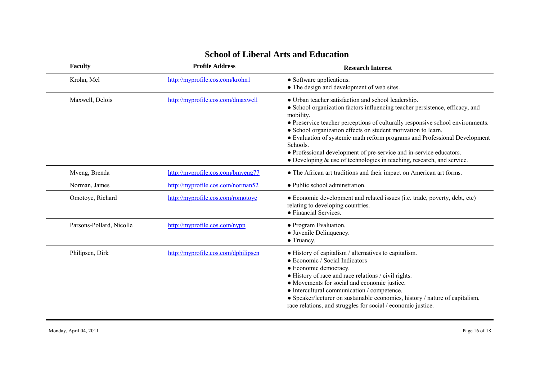| Faculty                  | <b>Profile Address</b>              | <b>Research Interest</b>                                                                                                                                                                                                                                                                                                                                                                                                                                                                                                                                  |
|--------------------------|-------------------------------------|-----------------------------------------------------------------------------------------------------------------------------------------------------------------------------------------------------------------------------------------------------------------------------------------------------------------------------------------------------------------------------------------------------------------------------------------------------------------------------------------------------------------------------------------------------------|
| Krohn, Mel               | http://myprofile.cos.com/krohn1     | • Software applications.<br>• The design and development of web sites.                                                                                                                                                                                                                                                                                                                                                                                                                                                                                    |
| Maxwell, Delois          | http://myprofile.cos.com/dmaxwell   | • Urban teacher satisfaction and school leadership.<br>• School organization factors influencing teacher persistence, efficacy, and<br>mobility.<br>• Preservice teacher perceptions of culturally responsive school environments.<br>• School organization effects on student motivation to learn.<br>• Evaluation of systemic math reform programs and Professional Development<br>Schools.<br>• Professional development of pre-service and in-service educators.<br>$\bullet$ Developing $\&$ use of technologies in teaching, research, and service. |
| Mveng, Brenda            | http://myprofile.cos.com/bmyeng77   | • The African art traditions and their impact on American art forms.                                                                                                                                                                                                                                                                                                                                                                                                                                                                                      |
| Norman, James            | http://myprofile.cos.com/norman52   | • Public school adminstration.                                                                                                                                                                                                                                                                                                                                                                                                                                                                                                                            |
| Omotoye, Richard         | http://myprofile.cos.com/romotoye   | • Economic development and related issues (i.e. trade, poverty, debt, etc)<br>relating to developing countries.<br>• Financial Services.                                                                                                                                                                                                                                                                                                                                                                                                                  |
| Parsons-Pollard, Nicolle | http://myprofile.cos.com/nypp       | • Program Evaluation.<br>• Juvenile Delinquency.<br>• Truancy.                                                                                                                                                                                                                                                                                                                                                                                                                                                                                            |
| Philipsen, Dirk          | http://myprofile.cos.com/dphilipsen | • History of capitalism / alternatives to capitalism.<br>• Economic / Social Indicators<br>• Economic democracy.<br>• History of race and race relations / civil rights.<br>• Movements for social and economic justice.<br>• Intercultural communication / competence.<br>• Speaker/lecturer on sustainable economics, history / nature of capitalism,<br>race relations, and struggles for social / economic justice.                                                                                                                                   |

#### **School of Liberal Arts and Education**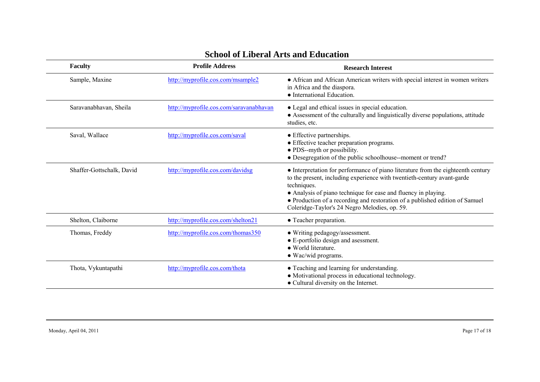| <b>School of Liberal Arts and Education</b> |  |  |  |  |
|---------------------------------------------|--|--|--|--|
|---------------------------------------------|--|--|--|--|

| <b>Faculty</b>            | <b>Profile Address</b>                  | <b>Research Interest</b>                                                                                                                                                                                                                                                                                                                                                      |
|---------------------------|-----------------------------------------|-------------------------------------------------------------------------------------------------------------------------------------------------------------------------------------------------------------------------------------------------------------------------------------------------------------------------------------------------------------------------------|
| Sample, Maxine            | http://myprofile.cos.com/msample2       | • African and African American writers with special interest in women writers<br>in Africa and the diaspora.<br>• International Education.                                                                                                                                                                                                                                    |
| Saravanabhavan, Sheila    | http://myprofile.cos.com/saravanabhavan | • Legal and ethical issues in special education.<br>• Assessment of the culturally and linguistically diverse populations, attitude<br>studies, etc.                                                                                                                                                                                                                          |
| Saval, Wallace            | http://myprofile.cos.com/saval          | • Effective partnerships.<br>• Effective teacher preparation programs.<br>• PDS--myth or possibility.<br>• Desegregation of the public schoolhouse--moment or trend?                                                                                                                                                                                                          |
| Shaffer-Gottschalk, David | http://myprofile.cos.com/davidsg        | • Interpretation for performance of piano literature from the eighteenth century<br>to the present, including experience with twentieth-century avant-garde<br>techniques.<br>• Analysis of piano technique for ease and fluency in playing.<br>• Production of a recording and restoration of a published edition of Samuel<br>Coleridge-Taylor's 24 Negro Melodies, op. 59. |
| Shelton, Claiborne        | http://myprofile.cos.com/shelton21      | • Teacher preparation.                                                                                                                                                                                                                                                                                                                                                        |
| Thomas, Freddy            | http://myprofile.cos.com/thomas350      | • Writing pedagogy/assessment.<br>• E-portfolio design and asessment.<br>• World literature.<br>$\bullet$ Wac/wid programs.                                                                                                                                                                                                                                                   |
| Thota, Vykuntapathi       | http://myprofile.cos.com/thota          | • Teaching and learning for understanding.<br>• Motivational process in educational technology.<br>• Cultural diversity on the Internet.                                                                                                                                                                                                                                      |